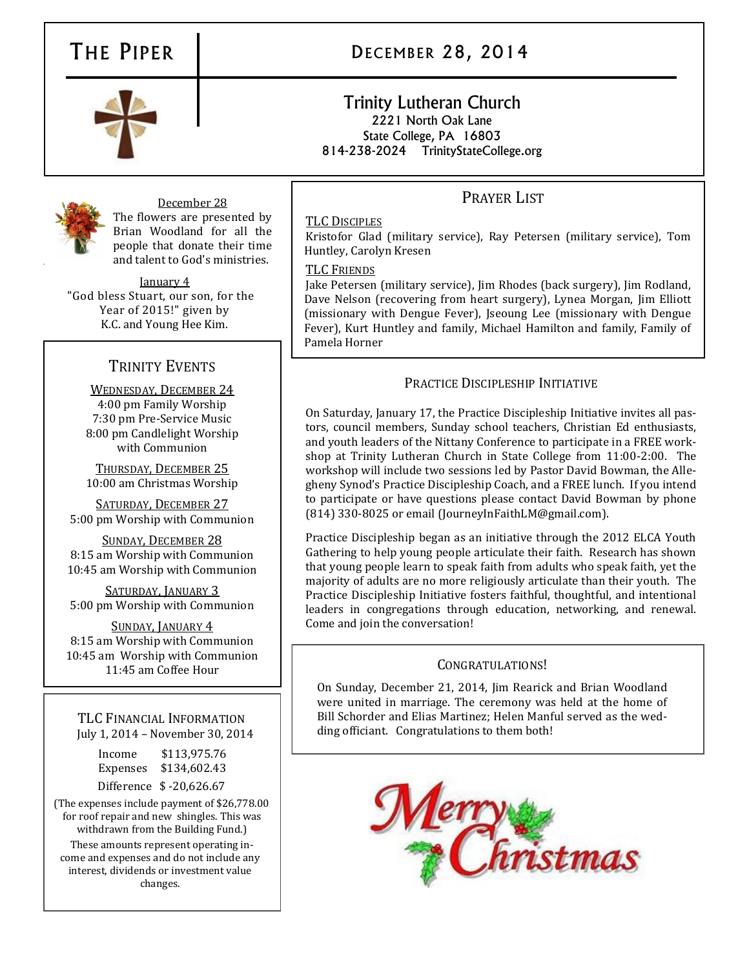# THE PIPER DECEMBER 28, 2014

## Trinity Lutheran Church 2221 North Oak Lane State College, PA 16803

814-238-2024 TrinityStateCollege.org

December 28 The flowers are presented by Brian Woodland for all the people that donate their time and talent to God's ministries.

January 4 "God bless Stuart, our son, for the Year of 2015!" given by K.C. and Young Hee Kim.

## TRINITY EVENTS

WEDNESDAY, DECEMBER 24 4:00 pm Family Worship 7:30 pm Pre-Service Music 8:00 pm Candlelight Worship with Communion

THURSDAY, DECEMBER 25 10:00 am Christmas Worship

SATURDAY, DECEMBER 27 5:00 pm Worship with Communion

SUNDAY, DECEMBER 28 8:15 am Worship with Communion 10:45 am Worship with Communion

SATURDAY, JANUARY 3 5:00 pm Worship with Communion

SUNDAY, JANUARY 4 8:15 am Worship with Communion 10:45 am Worship with Communion 11:45 am Coffee Hour

TLC FINANCIAL INFORMATION July 1, 2014 – November 30, 2014

| Income   | \$113,975.76            |
|----------|-------------------------|
| Expenses | \$134,602.43            |
|          | Difference \$-20,626.67 |

(The expenses include payment of \$26,778.00 for roof repair and new shingles. This was withdrawn from the Building Fund.)

These amounts represent operating income and expenses and do not include any interest, dividends or investment value changes.

## PRAYER LIST

### TLC DISCIPLES

Kristofor Glad (military service), Ray Petersen (military service), Tom Huntley, Carolyn Kresen

### TLC FRIENDS

Jake Petersen (military service), Jim Rhodes (back surgery), Jim Rodland, Dave Nelson (recovering from heart surgery), Lynea Morgan, Jim Elliott (missionary with Dengue Fever), Jseoung Lee (missionary with Dengue Fever), Kurt Huntley and family, Michael Hamilton and family, Family of Pamela Horner

### PRACTICE DISCIPLESHIP INITIATIVE

On Saturday, January 17, the Practice Discipleship Initiative invites all pastors, council members, Sunday school teachers, Christian Ed enthusiasts, and youth leaders of the Nittany Conference to participate in a FREE workshop at Trinity Lutheran Church in State College from 11:00-2:00. The workshop will include two sessions led by Pastor David Bowman, the Allegheny Synod's Practice Discipleship Coach, and a FREE lunch. If you intend to participate or have questions please contact David Bowman by phone (814) 330-8025 or email (JourneyInFaithLM@gmail.com).

Practice Discipleship began as an initiative through the 2012 ELCA Youth Gathering to help young people articulate their faith. Research has shown that young people learn to speak faith from adults who speak faith, yet the majority of adults are no more religiously articulate than their youth. The Practice Discipleship Initiative fosters faithful, thoughtful, and intentional leaders in congregations through education, networking, and renewal. Come and join the conversation!

### CONGRATULATIONS!

On Sunday, December 21, 2014, Jim Rearick and Brian Woodland were united in marriage. The ceremony was held at the home of Bill Schorder and Elias Martinez; Helen Manful served as the wedding officiant. Congratulations to them both!